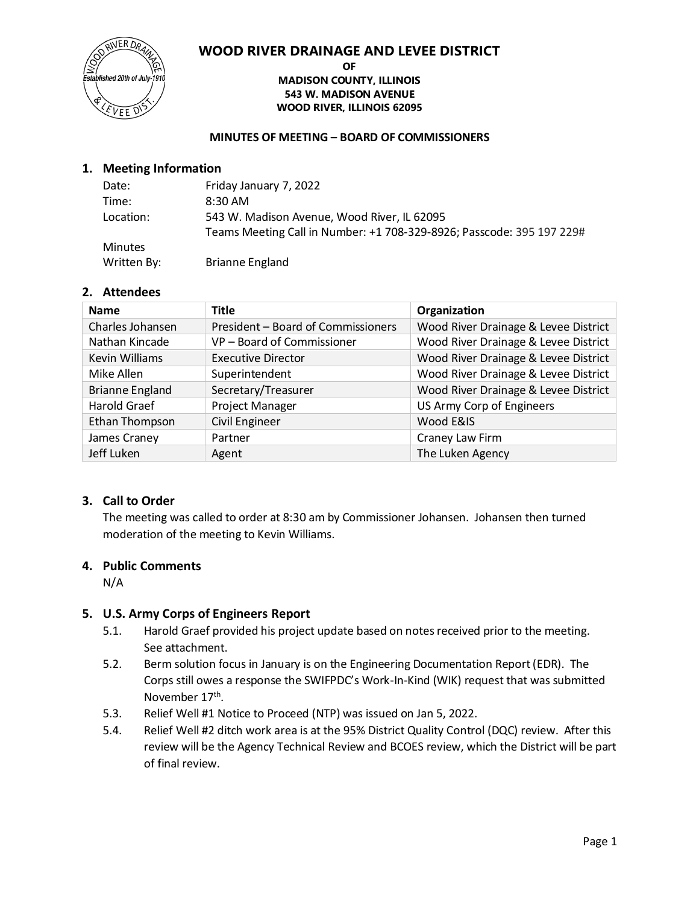

#### **OF MADISON COUNTY, ILLINOIS 543 W. MADISON AVENUE WOOD RIVER, ILLINOIS 62095**

#### **MINUTES OF MEETING – BOARD OF COMMISSIONERS**

## **1. Meeting Information**

| Date:          | Friday January 7, 2022                                                |
|----------------|-----------------------------------------------------------------------|
| Time:          | $8:30$ AM                                                             |
| Location:      | 543 W. Madison Avenue, Wood River, IL 62095                           |
|                | Teams Meeting Call in Number: +1 708-329-8926; Passcode: 395 197 229# |
| <b>Minutes</b> |                                                                       |
| Written By:    | <b>Brianne England</b>                                                |

## **2. Attendees**

| <b>Name</b>            | <b>Title</b>                       | Organization                         |
|------------------------|------------------------------------|--------------------------------------|
| Charles Johansen       | President - Board of Commissioners | Wood River Drainage & Levee District |
| Nathan Kincade         | VP - Board of Commissioner         | Wood River Drainage & Levee District |
| <b>Kevin Williams</b>  | <b>Executive Director</b>          | Wood River Drainage & Levee District |
| Mike Allen             | Superintendent                     | Wood River Drainage & Levee District |
| <b>Brianne England</b> | Secretary/Treasurer                | Wood River Drainage & Levee District |
| Harold Graef           | <b>Project Manager</b>             | US Army Corp of Engineers            |
| Ethan Thompson         | <b>Civil Engineer</b>              | Wood E&IS                            |
| James Craney           | Partner                            | Craney Law Firm                      |
| Jeff Luken             | Agent                              | The Luken Agency                     |

#### **3. Call to Order**

The meeting was called to order at 8:30 am by Commissioner Johansen. Johansen then turned moderation of the meeting to Kevin Williams.

### **4. Public Comments**

N/A

## **5. U.S. Army Corps of Engineers Report**

- 5.1. Harold Graef provided his project update based on notes received prior to the meeting. See attachment.
- 5.2. Berm solution focus in January is on the Engineering Documentation Report (EDR). The Corps still owes a response the SWIFPDC's Work-In-Kind (WIK) request that was submitted November 17<sup>th</sup>.
- 5.3. Relief Well #1 Notice to Proceed (NTP) was issued on Jan 5, 2022.
- 5.4. Relief Well #2 ditch work area is at the 95% District Quality Control (DQC) review. After this review will be the Agency Technical Review and BCOES review, which the District will be part of final review.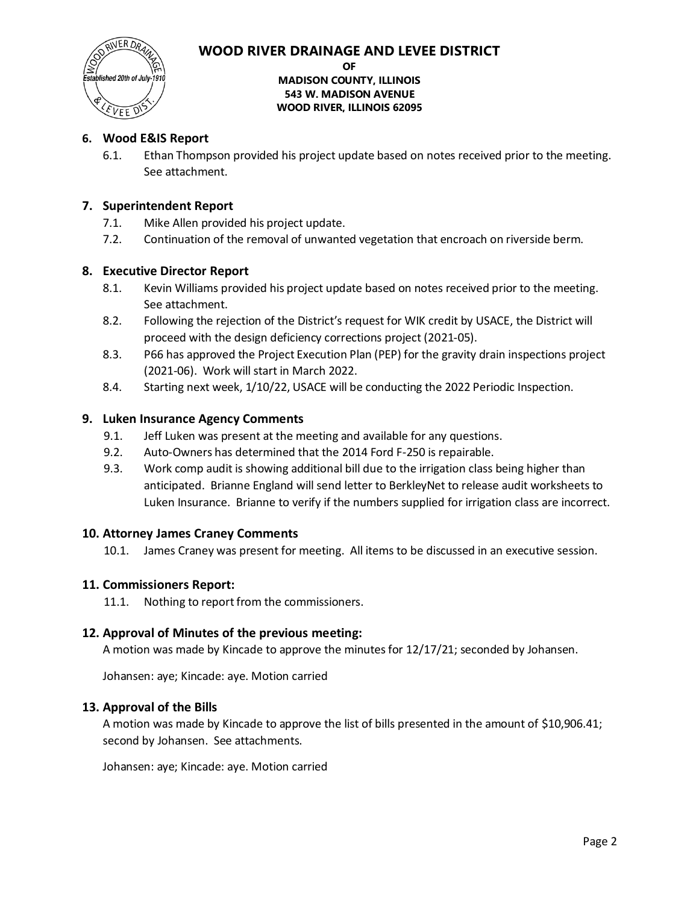

# blished 20th of July ENEE D

#### **OF MADISON COUNTY, ILLINOIS 543 W. MADISON AVENUE WOOD RIVER, ILLINOIS 62095**

## **6. Wood E&IS Report**

6.1. Ethan Thompson provided his project update based on notes received prior to the meeting. See attachment.

## **7. Superintendent Report**

- 7.1. Mike Allen provided his project update.
- 7.2. Continuation of the removal of unwanted vegetation that encroach on riverside berm.

## **8. Executive Director Report**

- 8.1. Kevin Williams provided his project update based on notes received prior to the meeting. See attachment.
- 8.2. Following the rejection of the District's request for WIK credit by USACE, the District will proceed with the design deficiency corrections project (2021-05).
- 8.3. P66 has approved the Project Execution Plan (PEP) for the gravity drain inspections project (2021-06). Work will start in March 2022.
- 8.4. Starting next week, 1/10/22, USACE will be conducting the 2022 Periodic Inspection.

## **9. Luken Insurance Agency Comments**

- 9.1. Jeff Luken was present at the meeting and available for any questions.
- 9.2. Auto-Owners has determined that the 2014 Ford F-250 is repairable.
- 9.3. Work comp audit is showing additional bill due to the irrigation class being higher than anticipated. Brianne England will send letter to BerkleyNet to release audit worksheets to Luken Insurance. Brianne to verify if the numbers supplied for irrigation class are incorrect.

## **10. Attorney James Craney Comments**

10.1. James Craney was present for meeting. All items to be discussed in an executive session.

## **11. Commissioners Report:**

11.1. Nothing to report from the commissioners.

## **12. Approval of Minutes of the previous meeting:**

A motion was made by Kincade to approve the minutes for 12/17/21; seconded by Johansen.

Johansen: aye; Kincade: aye. Motion carried

## **13. Approval of the Bills**

A motion was made by Kincade to approve the list of bills presented in the amount of \$10,906.41; second by Johansen. See attachments.

Johansen: aye; Kincade: aye. Motion carried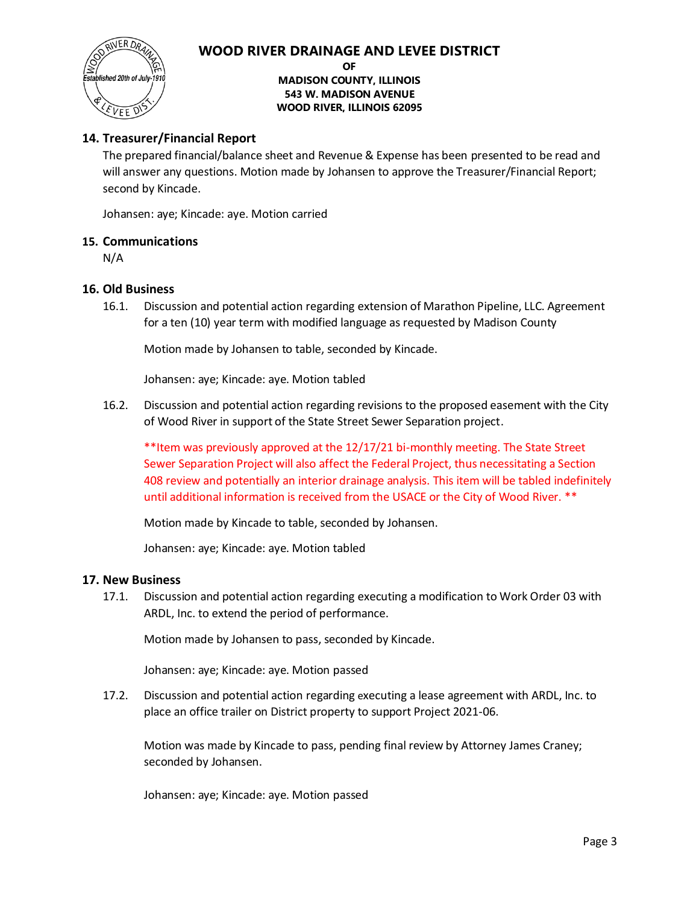

**OF**

**MADISON COUNTY, ILLINOIS 543 W. MADISON AVENUE WOOD RIVER, ILLINOIS 62095**

## **14. Treasurer/Financial Report**

The prepared financial/balance sheet and Revenue & Expense has been presented to be read and will answer any questions. Motion made by Johansen to approve the Treasurer/Financial Report; second by Kincade.

Johansen: aye; Kincade: aye. Motion carried

## **15. Communications**

N/A

#### **16. Old Business**

16.1. Discussion and potential action regarding extension of Marathon Pipeline, LLC. Agreement for a ten (10) year term with modified language as requested by Madison County

Motion made by Johansen to table, seconded by Kincade.

Johansen: aye; Kincade: aye. Motion tabled

16.2. Discussion and potential action regarding revisions to the proposed easement with the City of Wood River in support of the State Street Sewer Separation project.

\*\*Item was previously approved at the 12/17/21 bi-monthly meeting. The State Street Sewer Separation Project will also affect the Federal Project, thus necessitating a Section 408 review and potentially an interior drainage analysis. This item will be tabled indefinitely until additional information is received from the USACE or the City of Wood River. \*\*

Motion made by Kincade to table, seconded by Johansen.

Johansen: aye; Kincade: aye. Motion tabled

#### **17. New Business**

17.1. Discussion and potential action regarding executing a modification to Work Order 03 with ARDL, Inc. to extend the period of performance.

Motion made by Johansen to pass, seconded by Kincade.

Johansen: aye; Kincade: aye. Motion passed

17.2. Discussion and potential action regarding executing a lease agreement with ARDL, Inc. to place an office trailer on District property to support Project 2021-06.

Motion was made by Kincade to pass, pending final review by Attorney James Craney; seconded by Johansen.

Johansen: aye; Kincade: aye. Motion passed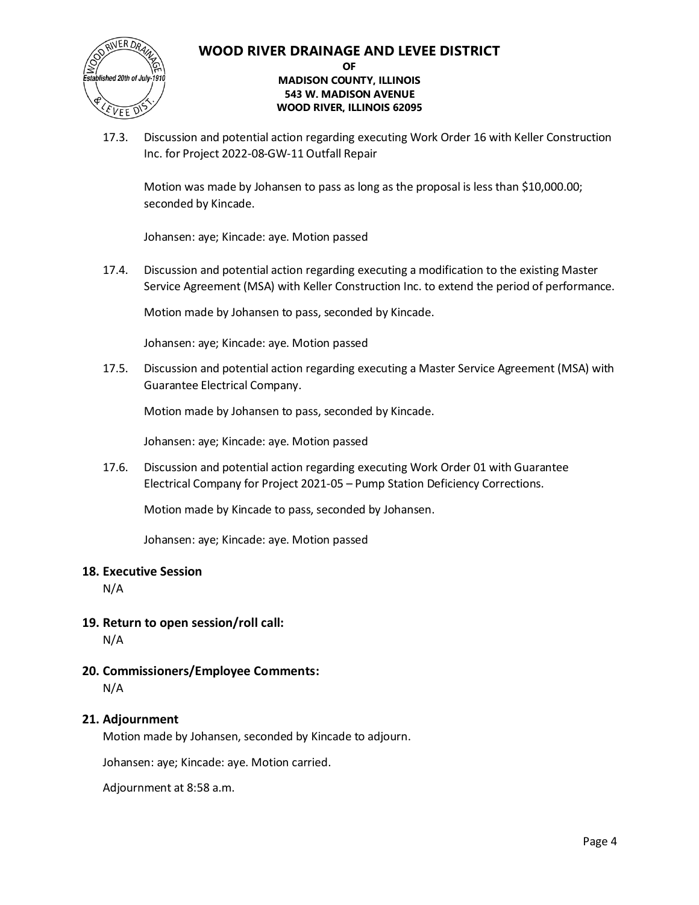

#### **OF MADISON COUNTY, ILLINOIS 543 W. MADISON AVENUE WOOD RIVER, ILLINOIS 62095**

17.3. Discussion and potential action regarding executing Work Order 16 with Keller Construction Inc. for Project 2022-08-GW-11 Outfall Repair

Motion was made by Johansen to pass as long as the proposal is less than \$10,000.00; seconded by Kincade.

Johansen: aye; Kincade: aye. Motion passed

17.4. Discussion and potential action regarding executing a modification to the existing Master Service Agreement (MSA) with Keller Construction Inc. to extend the period of performance.

Motion made by Johansen to pass, seconded by Kincade.

Johansen: aye; Kincade: aye. Motion passed

17.5. Discussion and potential action regarding executing a Master Service Agreement (MSA) with Guarantee Electrical Company.

Motion made by Johansen to pass, seconded by Kincade.

Johansen: aye; Kincade: aye. Motion passed

17.6. Discussion and potential action regarding executing Work Order 01 with Guarantee Electrical Company for Project 2021-05 – Pump Station Deficiency Corrections.

Motion made by Kincade to pass, seconded by Johansen.

Johansen: aye; Kincade: aye. Motion passed

#### **18. Executive Session**

N/A

**19. Return to open session/roll call:**

N/A

**20. Commissioners/Employee Comments:** N/A

#### **21. Adjournment**

Motion made by Johansen, seconded by Kincade to adjourn.

Johansen: aye; Kincade: aye. Motion carried.

Adjournment at 8:58 a.m.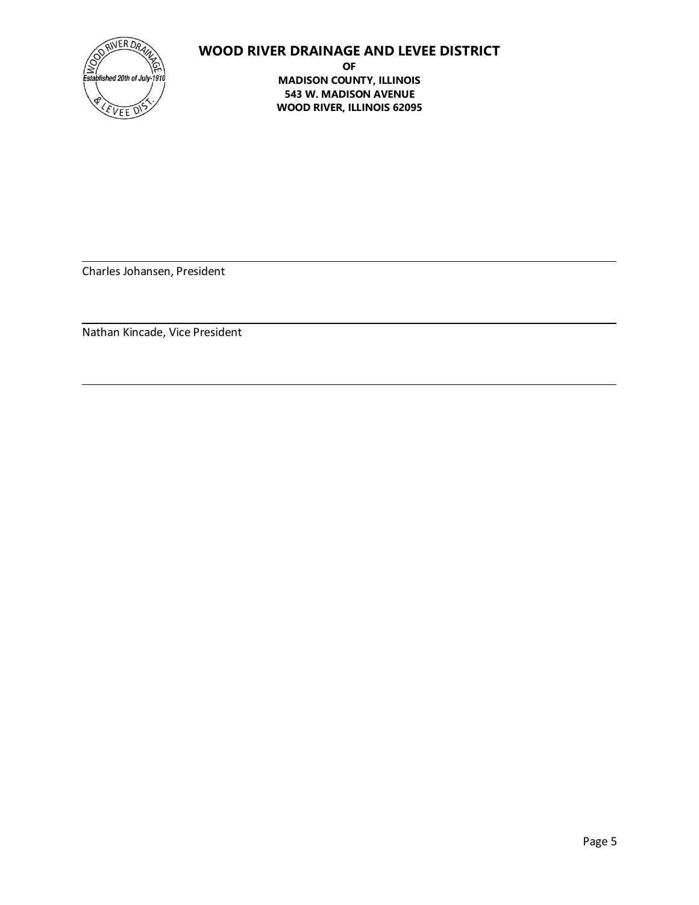

**OF MADISON COUNTY, ILLINOIS 543 W. MADISON AVENUE WOOD RIVER, ILLINOIS 62095**

Charles Johansen, President

Nathan Kincade, Vice President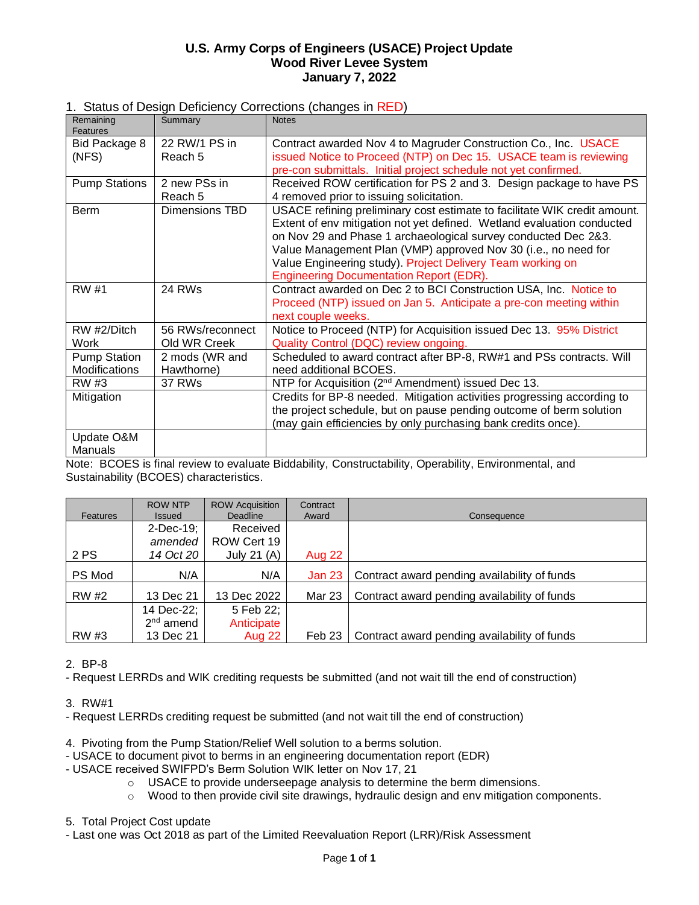## **U.S. Army Corps of Engineers (USACE) Project Update Wood River Levee System January 7, 2022**

## 1. Status of Design Deficiency Corrections (changes in RED)

| Remaining<br>Features                | Summary                      | <b>Notes</b>                                                                                                                                                                                                          |
|--------------------------------------|------------------------------|-----------------------------------------------------------------------------------------------------------------------------------------------------------------------------------------------------------------------|
| Bid Package 8                        | 22 RW/1 PS in                | Contract awarded Nov 4 to Magruder Construction Co., Inc. USACE                                                                                                                                                       |
| (NFS)                                | Reach 5                      | issued Notice to Proceed (NTP) on Dec 15. USACE team is reviewing                                                                                                                                                     |
|                                      |                              | pre-con submittals. Initial project schedule not yet confirmed.                                                                                                                                                       |
| <b>Pump Stations</b>                 | 2 new PSs in                 | Received ROW certification for PS 2 and 3. Design package to have PS                                                                                                                                                  |
|                                      | Reach 5                      | 4 removed prior to issuing solicitation.                                                                                                                                                                              |
| <b>Berm</b>                          | Dimensions TBD               | USACE refining preliminary cost estimate to facilitate WIK credit amount.<br>Extent of env mitigation not yet defined. Wetland evaluation conducted<br>on Nov 29 and Phase 1 archaeological survey conducted Dec 2&3. |
|                                      |                              | Value Management Plan (VMP) approved Nov 30 (i.e., no need for                                                                                                                                                        |
|                                      |                              | Value Engineering study). Project Delivery Team working on                                                                                                                                                            |
|                                      |                              | <b>Engineering Documentation Report (EDR).</b>                                                                                                                                                                        |
| RW #1                                | 24 RWs                       | Contract awarded on Dec 2 to BCI Construction USA, Inc. Notice to                                                                                                                                                     |
|                                      |                              | Proceed (NTP) issued on Jan 5. Anticipate a pre-con meeting within                                                                                                                                                    |
|                                      |                              | next couple weeks.                                                                                                                                                                                                    |
| RW #2/Ditch                          | 56 RWs/reconnect             | Notice to Proceed (NTP) for Acquisition issued Dec 13. 95% District                                                                                                                                                   |
| Work                                 | Old WR Creek                 | Quality Control (DQC) review ongoing.                                                                                                                                                                                 |
| <b>Pump Station</b><br>Modifications | 2 mods (WR and<br>Hawthorne) | Scheduled to award contract after BP-8, RW#1 and PSs contracts. Will<br>need additional BCOES.                                                                                                                        |
| RW #3                                | 37 RWs                       | NTP for Acquisition (2 <sup>nd</sup> Amendment) issued Dec 13.                                                                                                                                                        |
| Mitigation                           |                              | Credits for BP-8 needed. Mitigation activities progressing according to                                                                                                                                               |
|                                      |                              | the project schedule, but on pause pending outcome of berm solution                                                                                                                                                   |
|                                      |                              | (may gain efficiencies by only purchasing bank credits once).                                                                                                                                                         |
| Update O&M                           |                              |                                                                                                                                                                                                                       |
| Manuals                              |                              |                                                                                                                                                                                                                       |

Note: BCOES is final review to evaluate Biddability, Constructability, Operability, Environmental, and Sustainability (BCOES) characteristics.

| <b>Features</b> | <b>ROW NTP</b><br><b>Issued</b> | <b>ROW Acquisition</b><br><b>Deadline</b> | Contract<br>Award | Consequence                                  |
|-----------------|---------------------------------|-------------------------------------------|-------------------|----------------------------------------------|
|                 | $2$ -Dec-19;                    | Received                                  |                   |                                              |
|                 | amended                         | ROW Cert 19                               |                   |                                              |
| 2 PS            | 14 Oct 20                       | July 21 $(A)$                             | Aug 22            |                                              |
| PS Mod          | N/A                             | N/A                                       | <b>Jan 23</b>     | Contract award pending availability of funds |
| <b>RW #2</b>    | 13 Dec 21                       | 13 Dec 2022                               | Mar 23            | Contract award pending availability of funds |
|                 | 14 Dec-22;                      | 5 Feb 22;                                 |                   |                                              |
|                 | $2nd$ amend                     | Anticipate                                |                   |                                              |
| RW #3           | 13 Dec 21                       | Aug 22                                    | Feb 23            | Contract award pending availability of funds |

#### 2. BP-8

- Request LERRDs and WIK crediting requests be submitted (and not wait till the end of construction)

#### 3. RW#1

- Request LERRDs crediting request be submitted (and not wait till the end of construction)
- 4. Pivoting from the Pump Station/Relief Well solution to a berms solution.
- USACE to document pivot to berms in an engineering documentation report (EDR)
- USACE received SWIFPD's Berm Solution WIK letter on Nov 17, 21
	- o USACE to provide underseepage analysis to determine the berm dimensions.
	- $\circ$  Wood to then provide civil site drawings, hydraulic design and env mitigation components.

#### 5. Total Project Cost update

- Last one was Oct 2018 as part of the Limited Reevaluation Report (LRR)/Risk Assessment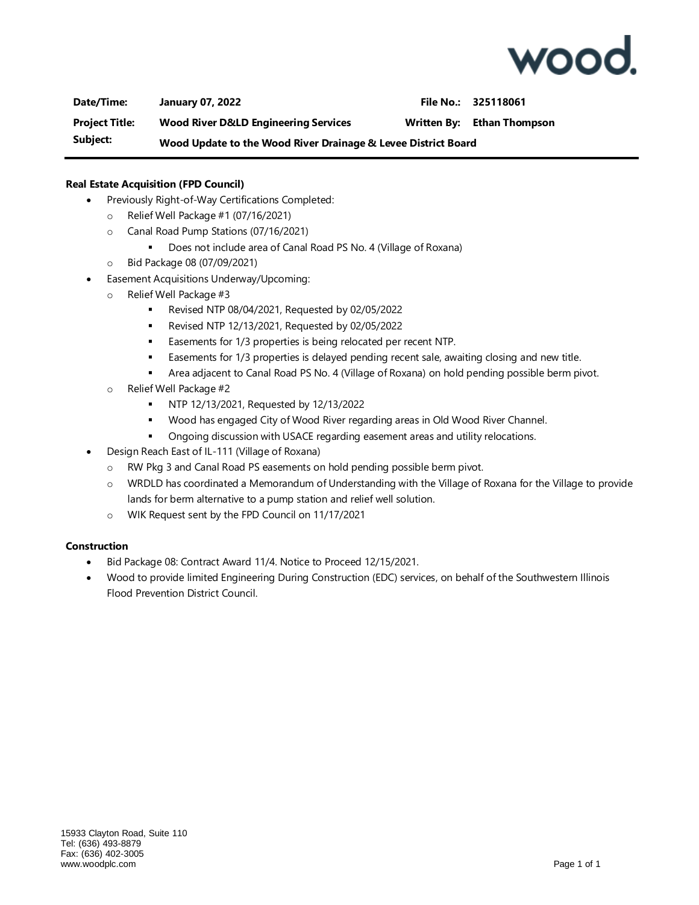

**Date/Time: January 07, 2022 File No.: 325118061 Project Title: Wood River D&LD Engineering Services Written By: Ethan Thompson Subject: Wood Update to the Wood River Drainage & Levee District Board**

#### **Real Estate Acquisition (FPD Council)**

- Previously Right-of-Way Certifications Completed:
	- o Relief Well Package #1 (07/16/2021)
	- o Canal Road Pump Stations (07/16/2021)
		- Does not include area of Canal Road PS No. 4 (Village of Roxana)
	- o Bid Package 08 (07/09/2021)
- Easement Acquisitions Underway/Upcoming:
	- o Relief Well Package #3
		- Revised NTP 08/04/2021, Requested by 02/05/2022
		- Revised NTP 12/13/2021, Requested by 02/05/2022
		- **Easements for 1/3 properties is being relocated per recent NTP.**
		- **Easements for 1/3 properties is delayed pending recent sale, awaiting closing and new title.**
		- **EXECT** Area adjacent to Canal Road PS No. 4 (Village of Roxana) on hold pending possible berm pivot.
	- o Relief Well Package #2
		- NTP 12/13/2021, Requested by 12/13/2022
		- Wood has engaged City of Wood River regarding areas in Old Wood River Channel.
		- Ongoing discussion with USACE regarding easement areas and utility relocations.
- Design Reach East of IL-111 (Village of Roxana)
	- o RW Pkg 3 and Canal Road PS easements on hold pending possible berm pivot.
	- o WRDLD has coordinated a Memorandum of Understanding with the Village of Roxana for the Village to provide lands for berm alternative to a pump station and relief well solution.
	- o WIK Request sent by the FPD Council on 11/17/2021

#### **Construction**

- Bid Package 08: Contract Award 11/4. Notice to Proceed 12/15/2021.
- Wood to provide limited Engineering During Construction (EDC) services, on behalf of the Southwestern Illinois Flood Prevention District Council.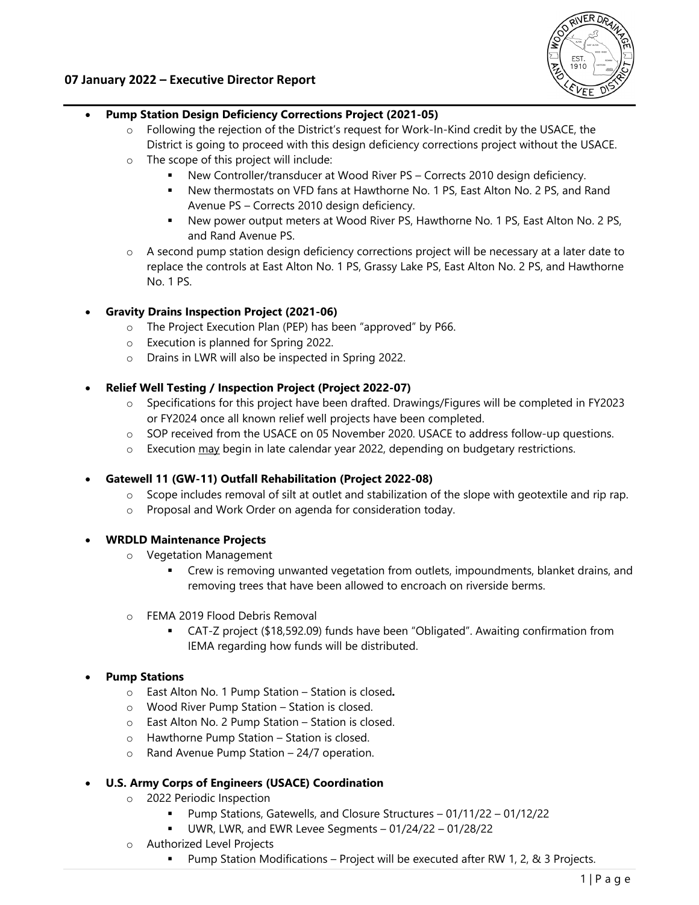

## **07 January 2022 – Executive Director Report**

## **Pump Station Design Deficiency Corrections Project (2021-05)**

- $\circ$  Following the rejection of the District's request for Work-In-Kind credit by the USACE, the District is going to proceed with this design deficiency corrections project without the USACE.
- o The scope of this project will include:
	- New Controller/transducer at Wood River PS Corrects 2010 design deficiency.
	- New thermostats on VFD fans at Hawthorne No. 1 PS, East Alton No. 2 PS, and Rand Avenue PS – Corrects 2010 design deficiency.
	- New power output meters at Wood River PS, Hawthorne No. 1 PS, East Alton No. 2 PS, and Rand Avenue PS.
- o A second pump station design deficiency corrections project will be necessary at a later date to replace the controls at East Alton No. 1 PS, Grassy Lake PS, East Alton No. 2 PS, and Hawthorne No. 1 PS.

## **Gravity Drains Inspection Project (2021-06)**

- o The Project Execution Plan (PEP) has been "approved" by P66.
- o Execution is planned for Spring 2022.
- o Drains in LWR will also be inspected in Spring 2022.

## **Relief Well Testing / Inspection Project (Project 2022-07)**

- o Specifications for this project have been drafted. Drawings/Figures will be completed in FY2023 or FY2024 once all known relief well projects have been completed.
- o SOP received from the USACE on 05 November 2020. USACE to address follow-up questions.
- $\circ$  Execution may begin in late calendar year 2022, depending on budgetary restrictions.

#### **Gatewell 11 (GW-11) Outfall Rehabilitation (Project 2022-08)**

- $\circ$  Scope includes removal of silt at outlet and stabilization of the slope with geotextile and rip rap.
- o Proposal and Work Order on agenda for consideration today.

#### **WRDLD Maintenance Projects**

- o Vegetation Management
	- Crew is removing unwanted vegetation from outlets, impoundments, blanket drains, and removing trees that have been allowed to encroach on riverside berms.
- o FEMA 2019 Flood Debris Removal
	- CAT-Z project (\$18,592.09) funds have been "Obligated". Awaiting confirmation from IEMA regarding how funds will be distributed.

## **Pump Stations**

- o East Alton No. 1 Pump Station Station is closed*.*
- o Wood River Pump Station Station is closed.
- o East Alton No. 2 Pump Station Station is closed.
- o Hawthorne Pump Station Station is closed.
- o Rand Avenue Pump Station 24/7 operation.

## **U.S. Army Corps of Engineers (USACE) Coordination**

- o 2022 Periodic Inspection
	- Pump Stations, Gatewells, and Closure Structures 01/11/22 01/12/22
	- UWR, LWR, and EWR Levee Segments 01/24/22 01/28/22
- o Authorized Level Projects
	- Pump Station Modifications Project will be executed after RW 1, 2, & 3 Projects.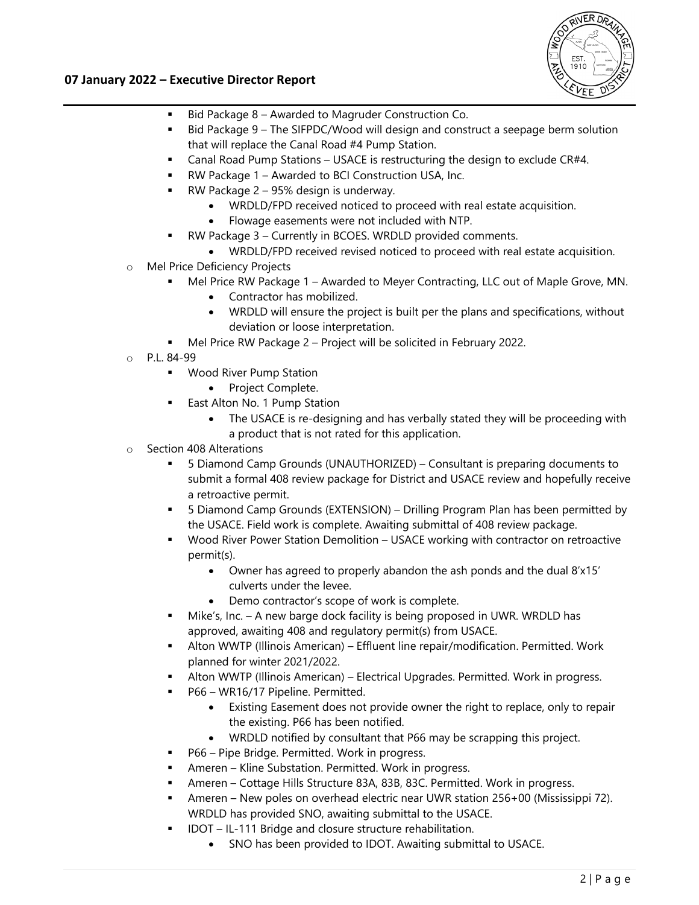

## **07 January 2022 – Executive Director Report**

- Bid Package 8 Awarded to Magruder Construction Co.
- Bid Package 9 The SIFPDC/Wood will design and construct a seepage berm solution that will replace the Canal Road #4 Pump Station.
- Canal Road Pump Stations USACE is restructuring the design to exclude CR#4.
- RW Package 1 Awarded to BCI Construction USA, Inc.
- RW Package 2 95% design is underway.
	- WRDLD/FPD received noticed to proceed with real estate acquisition.
	- Flowage easements were not included with NTP.
- RW Package 3 Currently in BCOES. WRDLD provided comments.
	- WRDLD/FPD received revised noticed to proceed with real estate acquisition.
- o Mel Price Deficiency Projects
	- Mel Price RW Package 1 Awarded to Meyer Contracting, LLC out of Maple Grove, MN.
		- Contractor has mobilized.
		- WRDLD will ensure the project is built per the plans and specifications, without deviation or loose interpretation.
	- Mel Price RW Package 2 Project will be solicited in February 2022.
- o P.L. 84-99
	- Wood River Pump Station
		- Project Complete.
	- East Alton No. 1 Pump Station
		- The USACE is re-designing and has verbally stated they will be proceeding with a product that is not rated for this application.
- o Section 408 Alterations
	- 5 Diamond Camp Grounds (UNAUTHORIZED) Consultant is preparing documents to submit a formal 408 review package for District and USACE review and hopefully receive a retroactive permit.
	- 5 Diamond Camp Grounds (EXTENSION) Drilling Program Plan has been permitted by the USACE. Field work is complete. Awaiting submittal of 408 review package.
	- Wood River Power Station Demolition USACE working with contractor on retroactive permit(s).
		- Owner has agreed to properly abandon the ash ponds and the dual 8'x15' culverts under the levee.
		- Demo contractor's scope of work is complete.
	- Mike's, Inc. A new barge dock facility is being proposed in UWR. WRDLD has approved, awaiting 408 and regulatory permit(s) from USACE.
	- Alton WWTP (Illinois American) Effluent line repair/modification. Permitted. Work planned for winter 2021/2022.
	- Alton WWTP (Illinois American) Electrical Upgrades. Permitted. Work in progress.
	- P66 WR16/17 Pipeline. Permitted.
		- Existing Easement does not provide owner the right to replace, only to repair the existing. P66 has been notified.
		- WRDLD notified by consultant that P66 may be scrapping this project.
	- P66 Pipe Bridge. Permitted. Work in progress.
	- Ameren Kline Substation. Permitted. Work in progress.
	- Ameren Cottage Hills Structure 83A, 83B, 83C. Permitted. Work in progress.
	- Ameren New poles on overhead electric near UWR station 256+00 (Mississippi 72). WRDLD has provided SNO, awaiting submittal to the USACE.
	- IDOT IL-111 Bridge and closure structure rehabilitation.
		- SNO has been provided to IDOT. Awaiting submittal to USACE.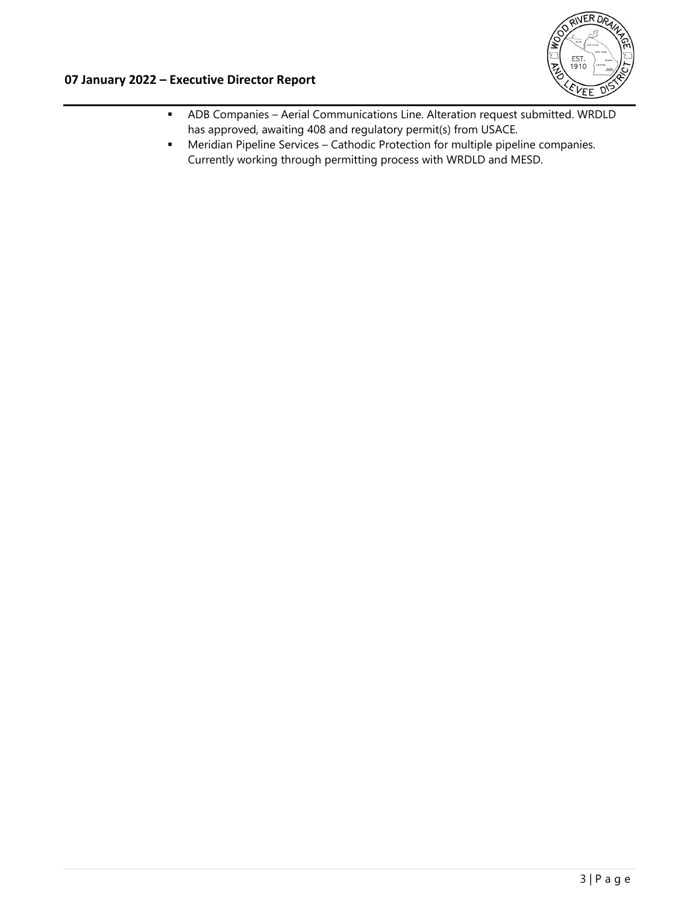

- ADB Companies Aerial Communications Line. Alteration request submitted. WRDLD has approved, awaiting 408 and regulatory permit(s) from USACE.
- Meridian Pipeline Services Cathodic Protection for multiple pipeline companies. Currently working through permitting process with WRDLD and MESD.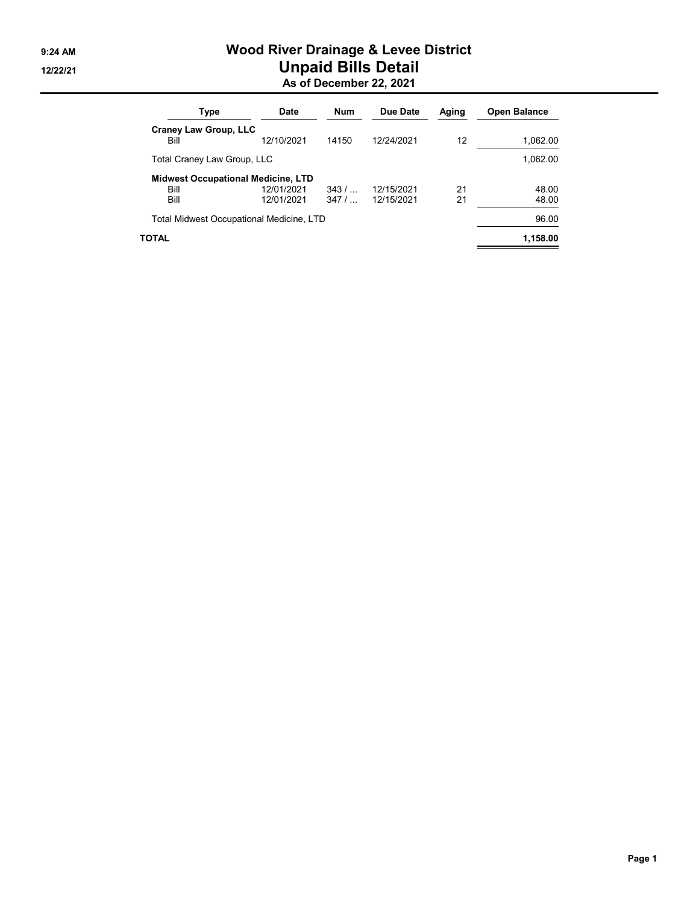## 9:24 AM Wood River Drainage & Levee District 12/22/21 **Unpaid Bills Detail** As of December 22, 2021

| Type                                              | <b>Date</b> | Num    | Due Date   | Aging | <b>Open Balance</b> |
|---------------------------------------------------|-------------|--------|------------|-------|---------------------|
| <b>Craney Law Group, LLC</b><br>Bill              | 12/10/2021  | 14150  | 12/24/2021 | 12    | 1,062.00            |
| Total Craney Law Group, LLC                       |             |        |            |       | 1,062.00            |
| <b>Midwest Occupational Medicine, LTD</b><br>Bill | 12/01/2021  | $343/$ | 12/15/2021 | 21    | 48.00               |
| Bill                                              | 12/01/2021  | $347/$ | 12/15/2021 | 21    | 48.00               |
| Total Midwest Occupational Medicine, LTD          |             |        |            |       | 96.00               |
| TOTAL                                             |             |        |            |       | 1,158.00            |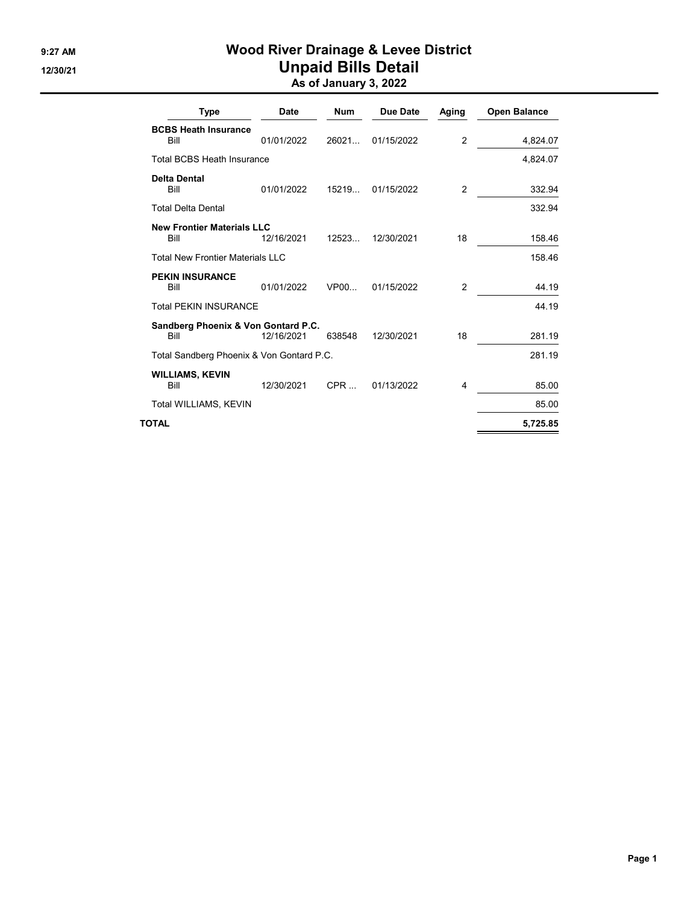## 9:27 AM Wood River Drainage & Levee District 12/30/21 **Unpaid Bills Detail** As of January 3, 2022

| Type                                        | Date       | <b>Num</b> | Due Date   | Aging          | <b>Open Balance</b> |
|---------------------------------------------|------------|------------|------------|----------------|---------------------|
| <b>BCBS Heath Insurance</b><br>Bill         | 01/01/2022 | 26021      | 01/15/2022 | $\mathfrak{p}$ | 4,824.07            |
| <b>Total BCBS Heath Insurance</b>           |            |            |            |                | 4,824.07            |
| Delta Dental<br>Bill                        | 01/01/2022 | 15219      | 01/15/2022 | 2              | 332.94              |
| <b>Total Delta Dental</b>                   |            |            |            |                | 332.94              |
| <b>New Frontier Materials LLC</b><br>Bill   | 12/16/2021 | 12523      | 12/30/2021 | 18             | 158.46              |
| <b>Total New Frontier Materials LLC</b>     |            |            |            |                | 158.46              |
| <b>PEKIN INSURANCE</b><br>Bill              | 01/01/2022 | VP00       | 01/15/2022 | $\overline{2}$ | 44.19               |
| <b>Total PEKIN INSURANCE</b>                |            |            |            |                | 44.19               |
| Sandberg Phoenix & Von Gontard P.C.<br>Bill | 12/16/2021 | 638548     | 12/30/2021 | 18             | 281.19              |
| Total Sandberg Phoenix & Von Gontard P.C.   |            |            |            |                | 281.19              |
| <b>WILLIAMS, KEVIN</b><br>Bill              | 12/30/2021 | $CPR$      | 01/13/2022 | 4              | 85.00               |
| Total WILLIAMS, KEVIN                       |            |            |            |                | 85.00               |
| TOTAL                                       |            |            |            |                | 5,725.85            |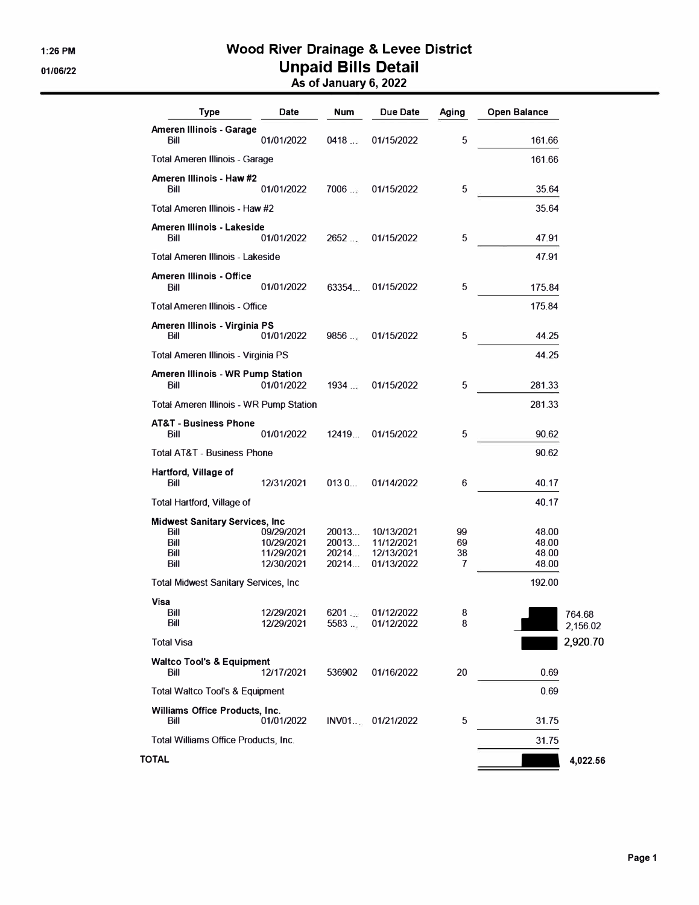## **1:26 PM Wood River Drainage & Levee District 01/06/22 Unpaid Bills Detail As of January 6, 2022**

| Type                                                                   | Date                                                 | Num                              | Due Date                                             | Aging               | <b>Open Balance</b>              |
|------------------------------------------------------------------------|------------------------------------------------------|----------------------------------|------------------------------------------------------|---------------------|----------------------------------|
| Ameren Illinois - Garage<br>Bill                                       | 01/01/2022                                           | 0418                             | 01/15/2022                                           | 5                   | 161.66                           |
| <b>Total Ameren Illinois - Garage</b>                                  |                                                      |                                  |                                                      |                     | 161.66                           |
| Ameren Illinois - Haw #2<br>Bill                                       | 01/01/2022                                           | 7006                             | 01/15/2022                                           | 5                   | 35.64                            |
| Total Ameren Illinois - Haw #2                                         |                                                      |                                  |                                                      |                     | 35.64                            |
| Ameren Illinois - Lakeside<br>Bill                                     | 01/01/2022                                           | 2652                             | 01/15/2022                                           | 5                   | 47.91                            |
| Total Ameren Illinois - Lakeside                                       |                                                      |                                  |                                                      |                     | 47.91                            |
| Ameren Illinois - Office<br>Bill                                       | 01/01/2022                                           | 63354                            | 01/15/2022                                           | 5                   | 175.84                           |
| <b>Total Ameren Illinois - Office</b>                                  |                                                      |                                  |                                                      |                     | 175.84                           |
| Ameren Illinois - Virginia PS<br>Bill                                  | 01/01/2022                                           | 9856                             | 01/15/2022                                           | 5                   | 44.25                            |
| <b>Total Ameren Illinois - Virginia PS</b>                             |                                                      |                                  |                                                      |                     | 44.25                            |
| <b>Ameren Illinois - WR Pump Station</b><br>Bill                       | 01/01/2022                                           | 1934                             | 01/15/2022                                           | 5                   | 281.33                           |
| <b>Total Ameren Illinois - WR Pump Station</b>                         |                                                      |                                  |                                                      |                     | 281.33                           |
| <b>AT&amp;T - Business Phone</b><br>Bill                               | 01/01/2022                                           | 12419                            | 01/15/2022                                           | 5                   | 90.62                            |
| <b>Total AT&amp;T - Business Phone</b>                                 |                                                      |                                  |                                                      |                     | 90.62                            |
| Hartford, Village of<br>Bill                                           | 12/31/2021                                           | 0130                             | 01/14/2022                                           | 6                   | 40.17                            |
| <b>Total Hartford, Village of</b>                                      |                                                      |                                  |                                                      |                     | 40.17                            |
| <b>Midwest Sanitary Services, Inc.</b><br>Bill<br>Bill<br>Bill<br>Bill | 09/29/2021<br>10/29/2021<br>11/29/2021<br>12/30/2021 | 20013<br>20013<br>20214<br>20214 | 10/13/2021<br>11/12/2021<br>12/13/2021<br>01/13/2022 | 99<br>69<br>38<br>7 | 48.00<br>48.00<br>48.00<br>48.00 |
| <b>Total Midwest Sanitary Services, Inc.</b>                           |                                                      |                                  |                                                      |                     | 192.00                           |
| Visa<br>BIII<br>Bill                                                   | 12/29/2021<br>12/29/2021                             | 6201<br>5583                     | 01/12/2022<br>01/12/2022                             | 8<br>8              |                                  |
| <b>Total Visa</b>                                                      |                                                      |                                  |                                                      |                     |                                  |
| <b>Waltco Tool's &amp; Equipment</b><br>Bill                           | 12/17/2021                                           | 536902                           | 01/16/2022                                           | 20                  | 0.69                             |
| <b>Total Waltco Tool's &amp; Equipment</b>                             |                                                      |                                  |                                                      |                     | 0.69                             |
| Williams Office Products, Inc.<br>Bill                                 | 01/01/2022                                           |                                  | INV01 01/21/2022                                     | 5                   | 31.75                            |
| Total Williams Office Products, Inc.                                   |                                                      |                                  |                                                      |                     | 31.75                            |
| <b>TOTAL</b>                                                           |                                                      |                                  |                                                      |                     |                                  |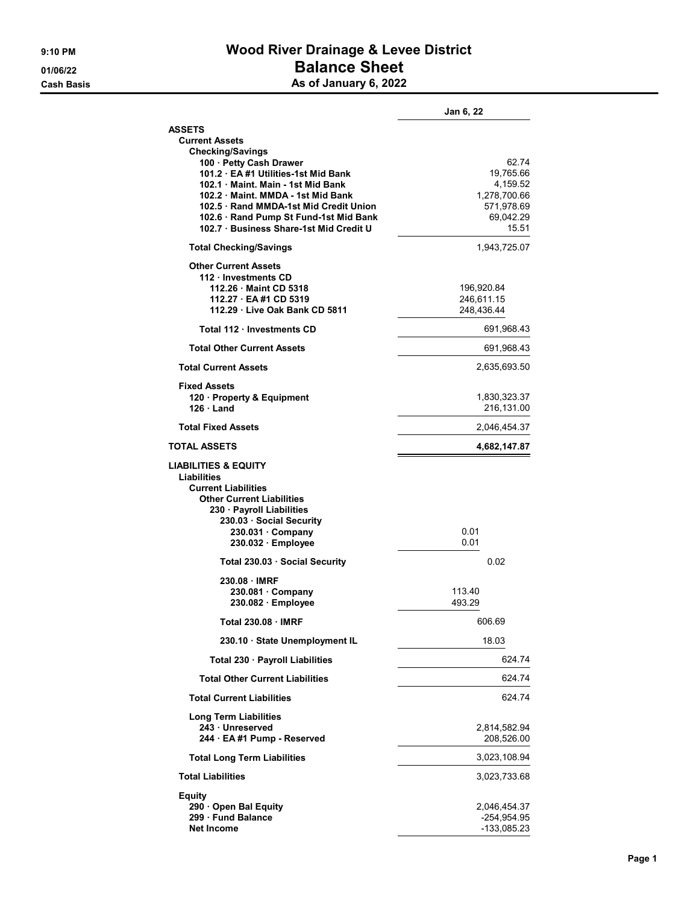## 9:10 PM **Wood River Drainage & Levee District** 01/06/22 Balance Sheet Cash Basis **As of January 6, 2022**

|                                                                                                                                                                                                                                       | Jan 6, 22                                                                 |
|---------------------------------------------------------------------------------------------------------------------------------------------------------------------------------------------------------------------------------------|---------------------------------------------------------------------------|
| <b>ASSETS</b><br><b>Current Assets</b><br><b>Checking/Savings</b><br>100 · Petty Cash Drawer                                                                                                                                          | 62.74                                                                     |
| 101.2 EA #1 Utilities-1st Mid Bank<br>102.1 Maint, Main - 1st Mid Bank<br>102.2 Maint, MMDA - 1st Mid Bank<br>102.5 Rand MMDA-1st Mid Credit Union<br>102.6 · Rand Pump St Fund-1st Mid Bank<br>102.7 Business Share-1st Mid Credit U | 19,765.66<br>4,159.52<br>1,278,700.66<br>571,978.69<br>69,042.29<br>15.51 |
| <b>Total Checking/Savings</b>                                                                                                                                                                                                         | 1,943,725.07                                                              |
| <b>Other Current Assets</b><br>112 · Investments CD<br>112.26 Maint CD 5318<br>112.27 EA #1 CD 5319<br>112.29 Live Oak Bank CD 5811                                                                                                   | 196,920.84<br>246,611.15<br>248,436.44                                    |
| Total 112 · Investments CD                                                                                                                                                                                                            | 691,968.43                                                                |
| <b>Total Other Current Assets</b>                                                                                                                                                                                                     | 691,968.43                                                                |
| <b>Total Current Assets</b>                                                                                                                                                                                                           | 2,635,693.50                                                              |
| <b>Fixed Assets</b><br>120 · Property & Equipment<br>$126 \cdot$ Land                                                                                                                                                                 | 1,830,323.37<br>216,131.00                                                |
| <b>Total Fixed Assets</b>                                                                                                                                                                                                             | 2,046,454.37                                                              |
| <b>TOTAL ASSETS</b>                                                                                                                                                                                                                   | 4,682,147.87                                                              |
|                                                                                                                                                                                                                                       |                                                                           |
| <b>LIABILITIES &amp; EQUITY</b><br>Liabilities<br><b>Current Liabilities</b><br><b>Other Current Liabilities</b><br>230 · Payroll Liabilities<br>230.03 Social Security<br>$230.031 \cdot$ Company<br>230.032 · Employee              | 0.01<br>0.01                                                              |
| Total 230.03 Social Security                                                                                                                                                                                                          | 0.02                                                                      |
| 230.08 IMRF<br>$230.081 \cdot$ Company<br>230.082 Employee                                                                                                                                                                            | 113.40<br>493.29                                                          |
| <b>Total 230.08 IMRF</b>                                                                                                                                                                                                              | 606.69                                                                    |
| 230.10 State Unemployment IL                                                                                                                                                                                                          | 18.03                                                                     |
| Total 230 · Payroll Liabilities                                                                                                                                                                                                       | 624.74                                                                    |
| <b>Total Other Current Liabilities</b>                                                                                                                                                                                                | 624.74                                                                    |
| <b>Total Current Liabilities</b>                                                                                                                                                                                                      | 624.74                                                                    |
| <b>Long Term Liabilities</b><br>243 · Unreserved<br>244 · EA #1 Pump - Reserved                                                                                                                                                       | 2,814,582.94<br>208,526.00                                                |
| <b>Total Long Term Liabilities</b>                                                                                                                                                                                                    | 3,023,108.94                                                              |
| <b>Total Liabilities</b>                                                                                                                                                                                                              | 3,023,733.68                                                              |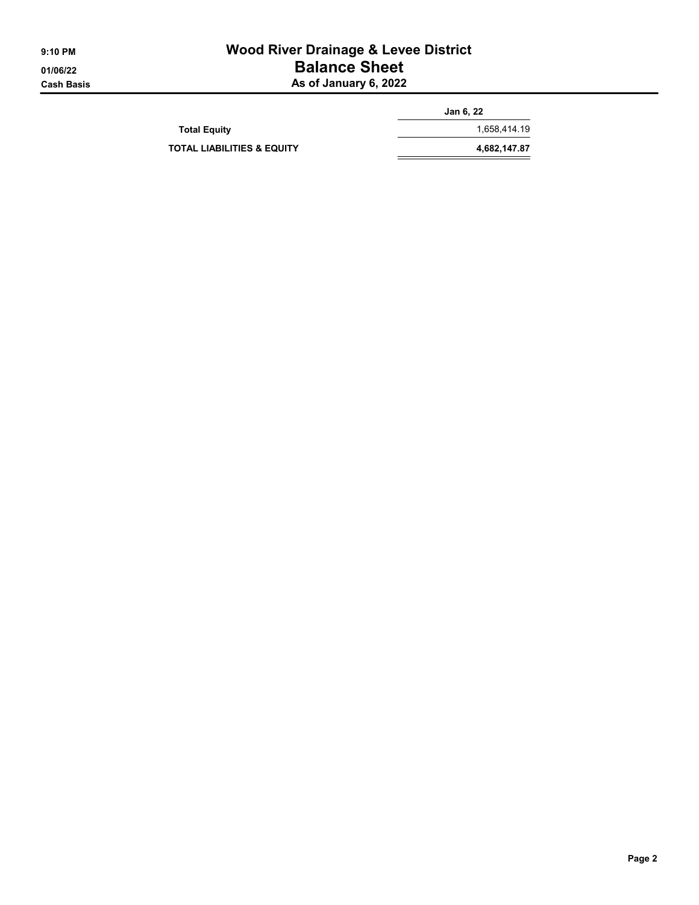## 9:10 PM **Wood River Drainage & Levee District** 01/06/22 Balance Sheet Cash Basis **As of January 6, 2022**

|                                       | Jan 6, 22    |
|---------------------------------------|--------------|
| <b>Total Equity</b>                   | 1.658.414.19 |
| <b>TOTAL LIABILITIES &amp; EQUITY</b> | 4,682,147.87 |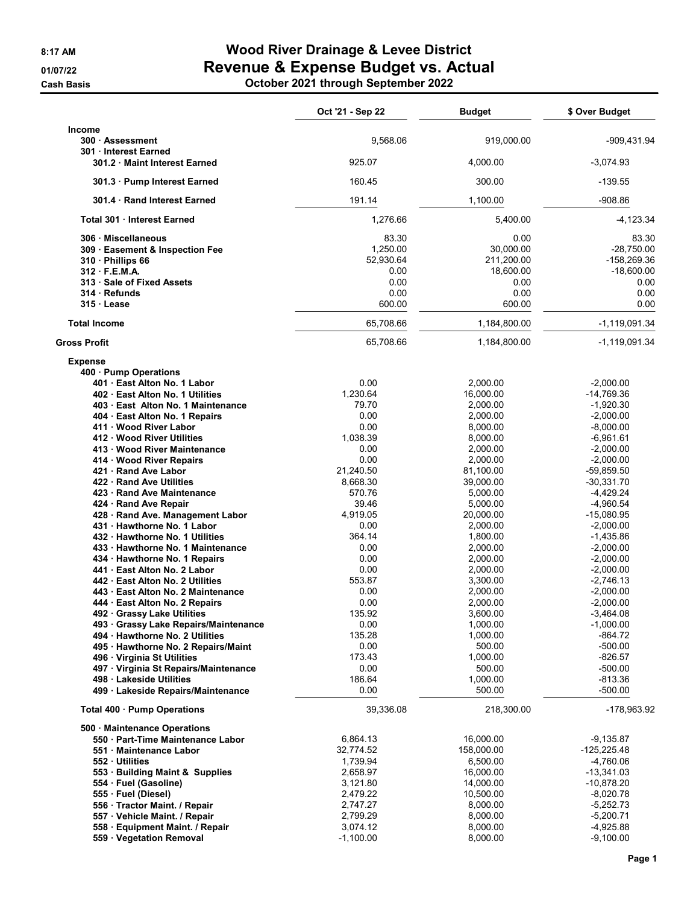**Cash Basis** 

## 8:17 AM **Wood River Drainage & Levee District** 01/07/22 Revenue & Expense Budget vs. Actual

|  | October 2021 through September 2022 |
|--|-------------------------------------|
|--|-------------------------------------|

|                                                                                                                                                                                                                                                                                                                                                                                                                                                                                                                                                                                                                                                                                                                                                                                                                                                                                                                                                                                                                        | Oct '21 - Sep 22                                                                                                                                                                                                                                                          | <b>Budget</b>                                                                                                                                                                                                                                                                                                                                          | \$ Over Budget                                                                                                                                                                                                                                                                                                                                                                                                                        |
|------------------------------------------------------------------------------------------------------------------------------------------------------------------------------------------------------------------------------------------------------------------------------------------------------------------------------------------------------------------------------------------------------------------------------------------------------------------------------------------------------------------------------------------------------------------------------------------------------------------------------------------------------------------------------------------------------------------------------------------------------------------------------------------------------------------------------------------------------------------------------------------------------------------------------------------------------------------------------------------------------------------------|---------------------------------------------------------------------------------------------------------------------------------------------------------------------------------------------------------------------------------------------------------------------------|--------------------------------------------------------------------------------------------------------------------------------------------------------------------------------------------------------------------------------------------------------------------------------------------------------------------------------------------------------|---------------------------------------------------------------------------------------------------------------------------------------------------------------------------------------------------------------------------------------------------------------------------------------------------------------------------------------------------------------------------------------------------------------------------------------|
| <b>Income</b><br>300 Assessment<br>301 Interest Earned                                                                                                                                                                                                                                                                                                                                                                                                                                                                                                                                                                                                                                                                                                                                                                                                                                                                                                                                                                 | 9,568.06                                                                                                                                                                                                                                                                  | 919,000.00                                                                                                                                                                                                                                                                                                                                             | -909,431.94                                                                                                                                                                                                                                                                                                                                                                                                                           |
| 301.2 Maint Interest Earned                                                                                                                                                                                                                                                                                                                                                                                                                                                                                                                                                                                                                                                                                                                                                                                                                                                                                                                                                                                            | 925.07                                                                                                                                                                                                                                                                    | 4,000.00                                                                                                                                                                                                                                                                                                                                               | $-3,074.93$                                                                                                                                                                                                                                                                                                                                                                                                                           |
| 301.3 Pump Interest Earned                                                                                                                                                                                                                                                                                                                                                                                                                                                                                                                                                                                                                                                                                                                                                                                                                                                                                                                                                                                             | 160.45                                                                                                                                                                                                                                                                    | 300.00                                                                                                                                                                                                                                                                                                                                                 | $-139.55$                                                                                                                                                                                                                                                                                                                                                                                                                             |
| 301.4 Rand Interest Earned                                                                                                                                                                                                                                                                                                                                                                                                                                                                                                                                                                                                                                                                                                                                                                                                                                                                                                                                                                                             | 191.14                                                                                                                                                                                                                                                                    | 1,100.00                                                                                                                                                                                                                                                                                                                                               | $-908.86$                                                                                                                                                                                                                                                                                                                                                                                                                             |
| Total 301 Interest Earned                                                                                                                                                                                                                                                                                                                                                                                                                                                                                                                                                                                                                                                                                                                                                                                                                                                                                                                                                                                              | 1,276.66                                                                                                                                                                                                                                                                  | 5,400.00                                                                                                                                                                                                                                                                                                                                               | $-4, 123.34$                                                                                                                                                                                                                                                                                                                                                                                                                          |
| 306 Miscellaneous<br>309 Easement & Inspection Fee<br>310 Phillips 66<br>312 F.E.M.A.<br>313 · Sale of Fixed Assets<br>314 Refunds<br>315 Lease                                                                                                                                                                                                                                                                                                                                                                                                                                                                                                                                                                                                                                                                                                                                                                                                                                                                        | 83.30<br>1,250.00<br>52,930.64<br>0.00<br>0.00<br>0.00<br>600.00                                                                                                                                                                                                          | 0.00<br>30,000.00<br>211,200.00<br>18,600.00<br>0.00<br>0.00<br>600.00                                                                                                                                                                                                                                                                                 | 83.30<br>$-28,750.00$<br>-158,269.36<br>$-18,600.00$<br>0.00<br>0.00<br>0.00                                                                                                                                                                                                                                                                                                                                                          |
| <b>Total Income</b>                                                                                                                                                                                                                                                                                                                                                                                                                                                                                                                                                                                                                                                                                                                                                                                                                                                                                                                                                                                                    | 65,708.66                                                                                                                                                                                                                                                                 | 1,184,800.00                                                                                                                                                                                                                                                                                                                                           | $-1,119,091.34$                                                                                                                                                                                                                                                                                                                                                                                                                       |
| <b>Gross Profit</b>                                                                                                                                                                                                                                                                                                                                                                                                                                                                                                                                                                                                                                                                                                                                                                                                                                                                                                                                                                                                    | 65,708.66                                                                                                                                                                                                                                                                 | 1,184,800.00                                                                                                                                                                                                                                                                                                                                           | $-1,119,091.34$                                                                                                                                                                                                                                                                                                                                                                                                                       |
| <b>Expense</b><br>400 · Pump Operations<br>401 East Alton No. 1 Labor<br>402 East Alton No. 1 Utilities<br>403 · East Alton No. 1 Maintenance<br>404 · East Alton No. 1 Repairs<br>411 Wood River Labor<br>412 Wood River Utilities<br>413 · Wood River Maintenance<br>414 · Wood River Repairs<br>421 · Rand Ave Labor<br>422 Rand Ave Utilities<br>423 · Rand Ave Maintenance<br>424 · Rand Ave Repair<br>428 · Rand Ave. Management Labor<br>431 Hawthorne No. 1 Labor<br>432 Hawthorne No. 1 Utilities<br>433 · Hawthorne No. 1 Maintenance<br>434 · Hawthorne No. 1 Repairs<br>441 · East Alton No. 2 Labor<br>442 East Alton No. 2 Utilities<br>443 · East Alton No. 2 Maintenance<br>444 · East Alton No. 2 Repairs<br>492 · Grassy Lake Utilities<br>493 · Grassy Lake Repairs/Maintenance<br>494 · Hawthorne No. 2 Utilities<br>495 · Hawthorne No. 2 Repairs/Maint<br>496 · Virginia St Utilities<br>497 · Virginia St Repairs/Maintenance<br>498 · Lakeside Utilities<br>499 · Lakeside Repairs/Maintenance | 0.00<br>1.230.64<br>79.70<br>0.00<br>0.00<br>1,038.39<br>0.00<br>0.00<br>21,240.50<br>8,668.30<br>570.76<br>39.46<br>4,919.05<br>0.00<br>364.14<br>0.00<br>0.00<br>0.00<br>553.87<br>0.00<br>0.00<br>135.92<br>0.00<br>135.28<br>0.00<br>173.43<br>0.00<br>186.64<br>0.00 | 2,000.00<br>16,000.00<br>2,000.00<br>2,000.00<br>8,000.00<br>8,000.00<br>2,000.00<br>2,000.00<br>81,100.00<br>39,000.00<br>5,000.00<br>5,000.00<br>20,000.00<br>2,000.00<br>1,800.00<br>2,000.00<br>2,000.00<br>2,000.00<br>3,300.00<br>2,000.00<br>2,000.00<br>3,600.00<br>1,000.00<br>1,000.00<br>500.00<br>1,000.00<br>500.00<br>1,000.00<br>500.00 | $-2.000.00$<br>$-14,769.36$<br>$-1,920.30$<br>$-2.000.00$<br>$-8,000.00$<br>$-6,961.61$<br>$-2,000.00$<br>$-2,000.00$<br>$-59,859.50$<br>$-30,331.70$<br>-4,429.24<br>$-4,960.54$<br>$-15,080.95$<br>$-2,000.00$<br>$-1,435.86$<br>$-2,000.00$<br>$-2,000.00$<br>$-2,000.00$<br>$-2,746.13$<br>$-2,000.00$<br>$-2,000.00$<br>$-3,464.08$<br>$-1,000.00$<br>$-864.72$<br>$-500.00$<br>$-826.57$<br>$-500.00$<br>$-813.36$<br>$-500.00$ |
| Total 400 · Pump Operations<br>500 Maintenance Operations<br>550 · Part-Time Maintenance Labor<br>551 · Maintenance Labor<br>552 · Utilities<br>553 · Building Maint & Supplies<br>554 · Fuel (Gasoline)<br>555 · Fuel (Diesel)<br>556 · Tractor Maint. / Repair<br>557 · Vehicle Maint. / Repair<br>558 · Equipment Maint. / Repair<br>559 · Vegetation Removal                                                                                                                                                                                                                                                                                                                                                                                                                                                                                                                                                                                                                                                       | 39,336.08<br>6,864.13<br>32,774.52<br>1,739.94<br>2,658.97<br>3,121.80<br>2,479.22<br>2,747.27<br>2,799.29<br>3,074.12<br>$-1,100.00$                                                                                                                                     | 218,300.00<br>16,000.00<br>158,000.00<br>6,500.00<br>16,000.00<br>14,000.00<br>10,500.00<br>8,000.00<br>8,000.00<br>8,000.00<br>8,000.00                                                                                                                                                                                                               | -178,963.92<br>$-9,135.87$<br>$-125,225.48$<br>-4,760.06<br>-13,341.03<br>$-10,878.20$<br>$-8,020.78$<br>$-5,252.73$<br>$-5,200.71$<br>-4,925.88<br>$-9,100.00$                                                                                                                                                                                                                                                                       |